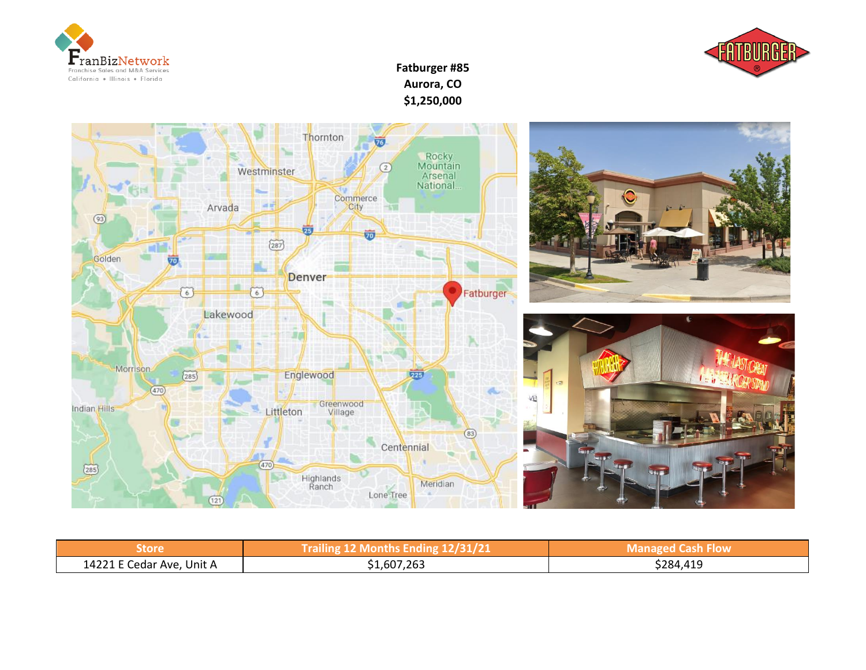



**Fatburger #85 Aurora, CO \$1,250,000**



| Store                     | Trailing 12 Months Ending 12/31/21 | <b>Managed Cash Flow</b> |
|---------------------------|------------------------------------|--------------------------|
| 14221 E Cedar Ave, Unit A | 1,607,263ذ                         | \$284,419                |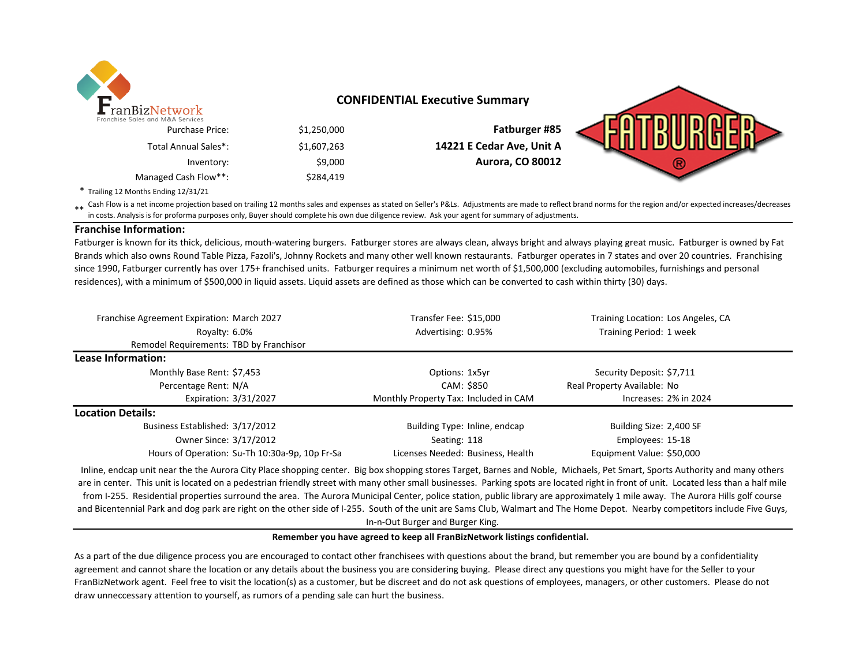

## **CONFIDENTIAL Executive Summary**

|                           |             | ranchise Sales and M&A Services |
|---------------------------|-------------|---------------------------------|
| Fatburger #85             | \$1,250,000 | <b>Purchase Price:</b>          |
| 14221 E Cedar Ave, Unit A | \$1,607,263 | Total Annual Sales*:            |
| <b>Aurora, CO 80012</b>   | \$9,000     | Inventory:                      |
|                           | \$284,419   | Managed Cash Flow**:            |

\* Trailing 12 Months Ending 12/31/21

\*\* Cash Flow is a net income projection based on trailing 12 months sales and expenses as stated on Seller's P&Ls. Adjustments are made to reflect brand norms for the region and/or expected increases/decreases<br>in cests, An in costs. Analysis is for proforma purposes only, Buyer should complete his own due diligence review. Ask your agent for summary of adjustments.

### **Franchise Information:**

Fatburger is known for its thick, delicious, mouth-watering burgers. Fatburger stores are always clean, always bright and always playing great music. Fatburger is owned by Fat Brands which also owns Round Table Pizza, Fazoli's, Johnny Rockets and many other well known restaurants. Fatburger operates in 7 states and over 20 countries. Franchising since 1990, Fatburger currently has over 175+ franchised units. Fatburger requires a minimum net worth of \$1,500,000 (excluding automobiles, furnishings and personal residences), with a minimum of \$500,000 in liquid assets. Liquid assets are defined as those which can be converted to cash within thirty (30) days.

| Franchise Agreement Expiration: March 2027     |  | Transfer Fee: \$15,000                | Training Location: Los Angeles, CA |
|------------------------------------------------|--|---------------------------------------|------------------------------------|
| Royalty: 6.0%                                  |  | Advertising: 0.95%                    | Training Period: 1 week            |
| Remodel Requirements: TBD by Franchisor        |  |                                       |                                    |
| Lease Information:                             |  |                                       |                                    |
| Monthly Base Rent: \$7,453                     |  | Options: 1x5yr                        | Security Deposit: \$7,711          |
| Percentage Rent: N/A                           |  | CAM: \$850                            | Real Property Available: No        |
| Expiration: 3/31/2027                          |  | Monthly Property Tax: Included in CAM | Increases: 2% in 2024              |
| <b>Location Details:</b>                       |  |                                       |                                    |
| Business Established: 3/17/2012                |  | Building Type: Inline, endcap         | Building Size: 2,400 SF            |
| Owner Since: 3/17/2012                         |  | Seating: 118                          | Employees: 15-18                   |
| Hours of Operation: Su-Th 10:30a-9p, 10p Fr-Sa |  | Licenses Needed: Business, Health     | Equipment Value: \$50,000          |

Inline, endcap unit near the the Aurora City Place shopping center. Big box shopping stores Target, Barnes and Noble, Michaels, Pet Smart, Sports Authority and many others are in center. This unit is located on a pedestrian friendly street with many other small businesses. Parking spots are located right in front of unit. Located less than a half mile from I-255. Residential properties surround the area. The Aurora Municipal Center, police station, public library are approximately 1 mile away. The Aurora Hills golf course and Bicentennial Park and dog park are right on the other side of I-255. South of the unit are Sams Club, Walmart and The Home Depot. Nearby competitors include Five Guys, In-n-Out Burger and Burger King.

#### **Remember you have agreed to keep all FranBizNetwork listings confidential.**

As a part of the due diligence process you are encouraged to contact other franchisees with questions about the brand, but remember you are bound by a confidentiality agreement and cannot share the location or any details about the business you are considering buying. Please direct any questions you might have for the Seller to your FranBizNetwork agent. Feel free to visit the location(s) as a customer, but be discreet and do not ask questions of employees, managers, or other customers. Please do not draw unneccessary attention to yourself, as rumors of a pending sale can hurt the business.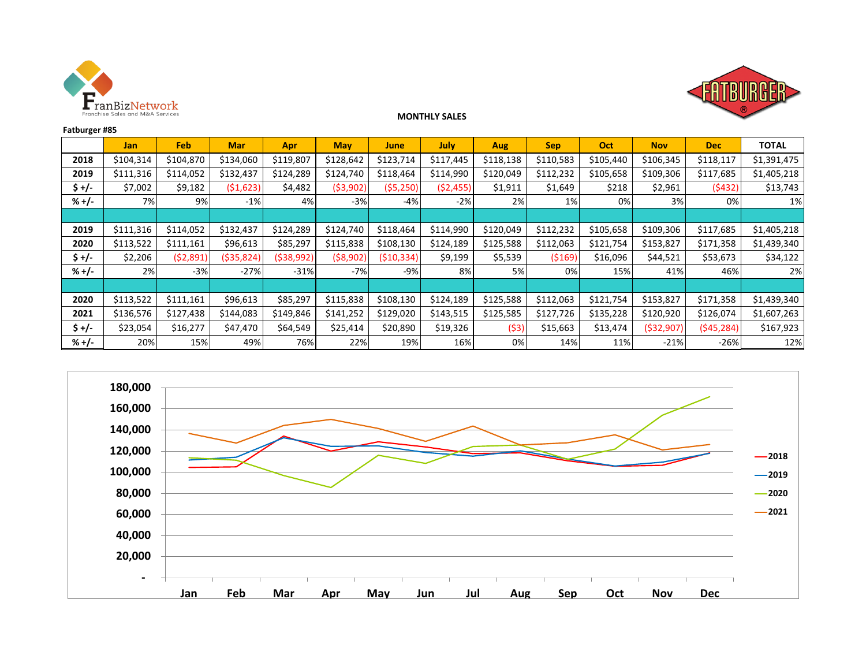



## **MONTHLY SALES**

| Fatburger #85 |            |            |            |           |            |            |             |            |            |           |              |            |              |
|---------------|------------|------------|------------|-----------|------------|------------|-------------|------------|------------|-----------|--------------|------------|--------------|
|               | <b>Jan</b> | <b>Feb</b> | <b>Mar</b> | Apr       | <b>May</b> | June       | <b>July</b> | <b>Aug</b> | <b>Sep</b> | Oct       | <b>Nov</b>   | <b>Dec</b> | <b>TOTAL</b> |
| 2018          | \$104,314  | \$104,870  | \$134,060  | \$119,807 | \$128,642  | \$123,714  | \$117,445   | \$118,138  | \$110,583  | \$105,440 | \$106,345    | \$118,117  | \$1,391,475  |
| 2019          | \$111,316  | \$114,052  | \$132,437  | \$124,289 | \$124,740  | \$118,464  | \$114,990   | \$120,049  | \$112,232  | \$105,658 | \$109,306    | \$117,685  | \$1,405,218  |
| \$+/-         | \$7,002    | \$9,182    | (51, 623)  | \$4,482   | (53,902)   | (55, 250)  | (52, 455)   | \$1,911    | \$1,649    | \$218     | \$2,961      | (\$432)    | \$13,743     |
| $% +/-$       | 7%         | 9%         | $-1%$      | 4%        | $-3%$      | $-4%$      | $-2%$       | 2%         | 1%         | 0%        | 3%           | 0%         | 1%           |
|               |            |            |            |           |            |            |             |            |            |           |              |            |              |
| 2019          | \$111,316  | \$114,052  | \$132,437  | \$124,289 | \$124,740  | \$118,464  | \$114,990   | \$120,049  | \$112,232  | \$105,658 | \$109,306    | \$117,685  | \$1,405,218  |
| 2020          | \$113,522  | \$111,161  | \$96,613   | \$85,297  | \$115,838  | \$108,130  | \$124,189   | \$125,588  | \$112,063  | \$121,754 | \$153,827    | \$171,358  | \$1,439,340  |
| \$+/-         | \$2,206    | (52,891)   | (\$35,824) | (538,992) | ( \$8,902) | (510, 334) | \$9,199     | \$5,539    | ( \$169)   | \$16,096  | \$44,521     | \$53,673   | \$34,122     |
| $% +/-$       | 2%         | $-3%$      | $-27%$     | $-31%$    | $-7%$      | $-9%$      | 8%          | 5%         | 0%         | 15%       | 41%          | 46%        | 2%           |
|               |            |            |            |           |            |            |             |            |            |           |              |            |              |
| 2020          | \$113,522  | \$111,161  | \$96,613   | \$85,297  | \$115,838  | \$108,130  | \$124,189   | \$125,588  | \$112,063  | \$121,754 | \$153,827    | \$171,358  | \$1,439,340  |
| 2021          | \$136,576  | \$127,438  | \$144,083  | \$149,846 | \$141,252  | \$129,020  | \$143,515   | \$125,585  | \$127,726  | \$135,228 | \$120,920    | \$126,074  | \$1,607,263  |
| $$+/-$        | \$23,054   | \$16,277   | \$47,470   | \$64,549  | \$25,414   | \$20,890   | \$19,326    | (53)       | \$15,663   | \$13,474  | ( \$32, 907] | (\$45,284) | \$167,923    |
| $% +/-$       | 20%        | 15%        | 49%        | 76%       | 22%        | 19%        | 16%         | 0%         | 14%        | 11%       | $-21%$       | $-26%$     | 12%          |